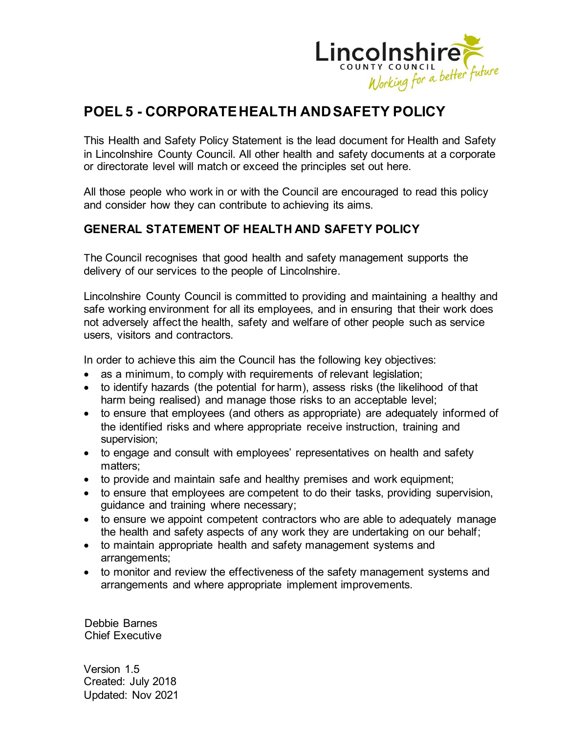

# **POEL 5 - CORPORATE HEALTH AND SAFETY POLICY**

This Health and Safety Policy Statement is the lead document for Health and Safety in Lincolnshire County Council. All other health and safety documents at a corporate or directorate level will match or exceed the principles set out here.

All those people who work in or with the Council are encouraged to read this policy and consider how they can contribute to achieving its aims.

## **GENERAL STATEMENT OF HEALTH AND SAFETY POLICY**

The Council recognises that good health and safety management supports the delivery of our services to the people of Lincolnshire.

Lincolnshire County Council is committed to providing and maintaining a healthy and safe working environment for all its employees, and in ensuring that their work does not adversely affect the health, safety and welfare of other people such as service users, visitors and contractors.

In order to achieve this aim the Council has the following key objectives:

- as a minimum, to comply with requirements of relevant legislation;
- to identify hazards (the potential for harm), assess risks (the likelihood of that harm being realised) and manage those risks to an acceptable level;
- to ensure that employees (and others as appropriate) are adequately informed of the identified risks and where appropriate receive instruction, training and supervision;
- to engage and consult with employees' representatives on health and safety matters;
- to provide and maintain safe and healthy premises and work equipment;
- to ensure that employees are competent to do their tasks, providing supervision, guidance and training where necessary;
- to ensure we appoint competent contractors who are able to adequately manage the health and safety aspects of any work they are undertaking on our behalf;
- to maintain appropriate health and safety management systems and arrangements;
- to monitor and review the effectiveness of the safety management systems and arrangements and where appropriate implement improvements.

Debbie Barnes Chief Executive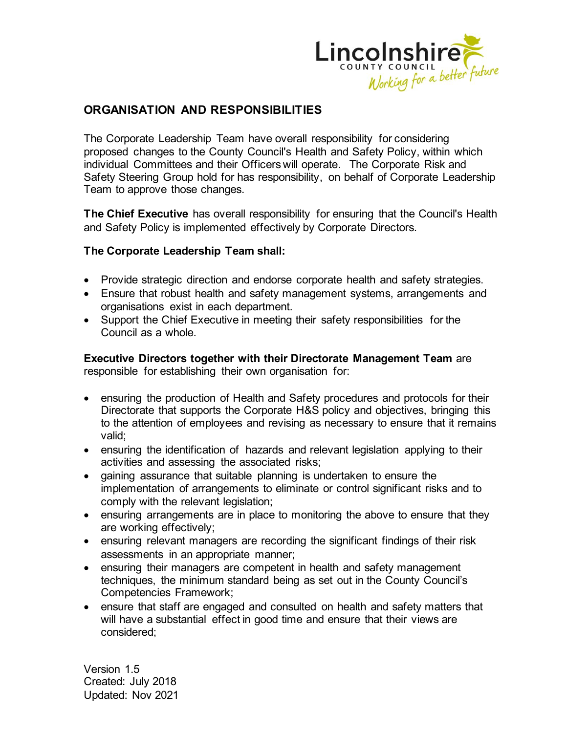

# **ORGANISATION AND RESPONSIBILITIES**

The Corporate Leadership Team have overall responsibility for considering proposed changes to the County Council's Health and Safety Policy, within which individual Committees and their Officers will operate. The Corporate Risk and Safety Steering Group hold for has responsibility, on behalf of Corporate Leadership Team to approve those changes.

**The Chief Executive** has overall responsibility for ensuring that the Council's Health and Safety Policy is implemented effectively by Corporate Directors.

### **The Corporate Leadership Team shall:**

- Provide strategic direction and endorse corporate health and safety strategies.
- Ensure that robust health and safety management systems, arrangements and organisations exist in each department.
- Support the Chief Executive in meeting their safety responsibilities for the Council as a whole.

**Executive Directors together with their Directorate Management Team** are responsible for establishing their own organisation for:

- ensuring the production of Health and Safety procedures and protocols for their Directorate that supports the Corporate H&S policy and objectives, bringing this to the attention of employees and revising as necessary to ensure that it remains valid;
- ensuring the identification of hazards and relevant legislation applying to their activities and assessing the associated risks;
- gaining assurance that suitable planning is undertaken to ensure the implementation of arrangements to eliminate or control significant risks and to comply with the relevant legislation;
- ensuring arrangements are in place to monitoring the above to ensure that they are working effectively;
- ensuring relevant managers are recording the significant findings of their risk assessments in an appropriate manner;
- ensuring their managers are competent in health and safety management techniques, the minimum standard being as set out in the County Council's Competencies Framework;
- ensure that staff are engaged and consulted on health and safety matters that will have a substantial effect in good time and ensure that their views are considered;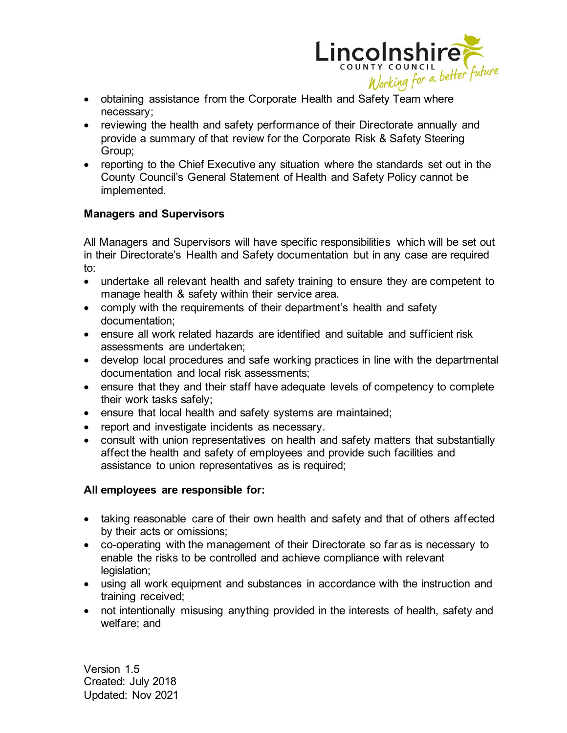

- obtaining assistance from the Corporate Health and Safety Team where necessary;
- reviewing the health and safety performance of their Directorate annually and provide a summary of that review for the Corporate Risk & Safety Steering Group;
- reporting to the Chief Executive any situation where the standards set out in the County Council's General Statement of Health and Safety Policy cannot be implemented.

### **Managers and Supervisors**

All Managers and Supervisors will have specific responsibilities which will be set out in their Directorate's Health and Safety documentation but in any case are required to:

- undertake all relevant health and safety training to ensure they are competent to manage health & safety within their service area.
- comply with the requirements of their department's health and safety documentation;
- ensure all work related hazards are identified and suitable and sufficient risk assessments are undertaken;
- develop local procedures and safe working practices in line with the departmental documentation and local risk assessments;
- ensure that they and their staff have adequate levels of competency to complete their work tasks safely;
- ensure that local health and safety systems are maintained;
- report and investigate incidents as necessary.
- consult with union representatives on health and safety matters that substantially affect the health and safety of employees and provide such facilities and assistance to union representatives as is required;

## **All employees are responsible for:**

- taking reasonable care of their own health and safety and that of others affected by their acts or omissions;
- co-operating with the management of their Directorate so far as is necessary to enable the risks to be controlled and achieve compliance with relevant legislation;
- using all work equipment and substances in accordance with the instruction and training received;
- not intentionally misusing anything provided in the interests of health, safety and welfare; and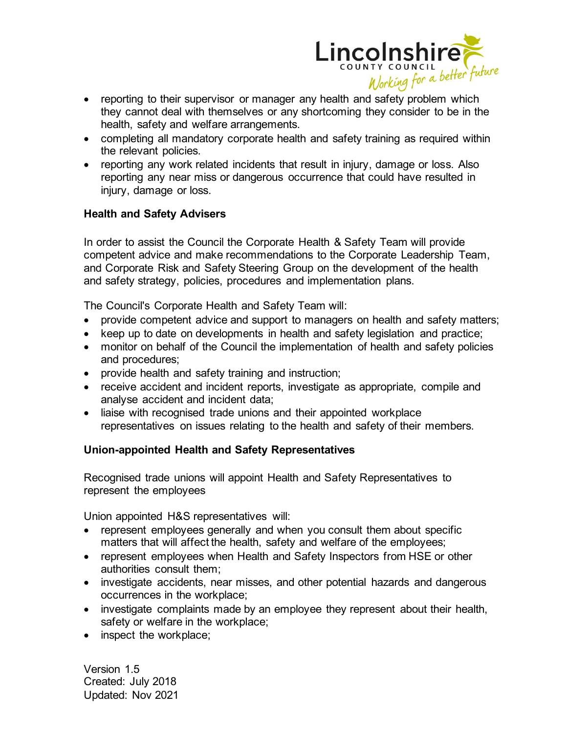

- reporting to their supervisor or manager any health and safety problem which they cannot deal with themselves or any shortcoming they consider to be in the health, safety and welfare arrangements.
- completing all mandatory corporate health and safety training as required within the relevant policies.
- reporting any work related incidents that result in injury, damage or loss. Also reporting any near miss or dangerous occurrence that could have resulted in injury, damage or loss.

## **Health and Safety Advisers**

In order to assist the Council the Corporate Health & Safety Team will provide competent advice and make recommendations to the Corporate Leadership Team, and Corporate Risk and Safety Steering Group on the development of the health and safety strategy, policies, procedures and implementation plans.

The Council's Corporate Health and Safety Team will:

- provide competent advice and support to managers on health and safety matters;
- keep up to date on developments in health and safety legislation and practice;
- monitor on behalf of the Council the implementation of health and safety policies and procedures;
- provide health and safety training and instruction;
- receive accident and incident reports, investigate as appropriate, compile and analyse accident and incident data;
- liaise with recognised trade unions and their appointed workplace representatives on issues relating to the health and safety of their members.

### **Union-appointed Health and Safety Representatives**

Recognised trade unions will appoint Health and Safety Representatives to represent the employees

Union appointed H&S representatives will:

- represent employees generally and when you consult them about specific matters that will affect the health, safety and welfare of the employees;
- represent employees when Health and Safety [Inspectors](https://www.hse.gov.uk/involvement/prepare/union/contact.htm) from HSE or other authorities consult them;
- investigate [accidents,](https://www.hse.gov.uk/involvement/accidents.htm) near misses, and other potential hazards and dangerous occurrences in the workplace;
- investigate [complaints](https://www.hse.gov.uk/involvement/inspections.htm) made by an employee they represent about their health, safety or welfare in the workplace;
- [inspect](https://www.hse.gov.uk/involvement/inspections.htm) the workplace;